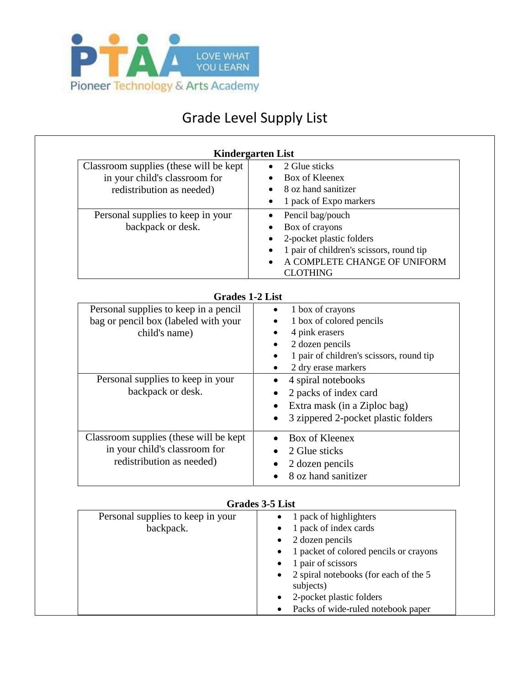

## Grade Level Supply List

| Classroom supplies (these will be kept | 2 Glue sticks                                   |
|----------------------------------------|-------------------------------------------------|
| in your child's classroom for          | <b>Box of Kleenex</b>                           |
| redistribution as needed)              | 8 oz hand sanitizer                             |
|                                        | 1 pack of Expo markers<br>$\bullet$             |
| Personal supplies to keep in your      | Pencil bag/pouch<br>$\bullet$                   |
| backpack or desk.                      | Box of crayons                                  |
|                                        | 2-pocket plastic folders                        |
|                                        | 1 pair of children's scissors, round tip        |
|                                        | A COMPLETE CHANGE OF UNIFORM<br><b>CLOTHING</b> |
|                                        |                                                 |
| <b>Grades 1-2 List</b>                 |                                                 |
| Personal supplies to keep in a pencil  | 1 box of crayons                                |
| bag or pencil box (labeled with your   | 1 box of colored pencils                        |
| child's name)                          | 4 pink erasers                                  |
|                                        | 2 dozen pencils                                 |
|                                        | 1 pair of children's scissors, round tip        |
|                                        | 2 dry erase markers                             |
| Personal supplies to keep in your      | 4 spiral notebooks                              |
| backpack or desk.                      | 2 packs of index card                           |
|                                        | Extra mask (in a Ziploc bag)                    |
|                                        | 3 zippered 2-pocket plastic folders             |
|                                        |                                                 |
| Classroom supplies (these will be kept | <b>Box of Kleenex</b>                           |
| in your child's classroom for          | 2 Glue sticks                                   |
| redistribution as needed)              | 2 dozen pencils                                 |
|                                        | 8 oz hand sanitizer                             |

| <b>Grades 3-5 List</b> |  |  |  |  |
|------------------------|--|--|--|--|
|------------------------|--|--|--|--|

| Personal supplies to keep in your | 1 pack of highlighters                                          |
|-----------------------------------|-----------------------------------------------------------------|
| backpack.                         | 1 pack of index cards                                           |
|                                   | 2 dozen pencils                                                 |
|                                   | 1 packet of colored pencils or crayons                          |
|                                   | 1 pair of scissors                                              |
|                                   | 2 spiral notebooks (for each of the 5<br>$\bullet$<br>subjects) |
|                                   | 2-pocket plastic folders                                        |
|                                   | Packs of wide-ruled notebook paper                              |